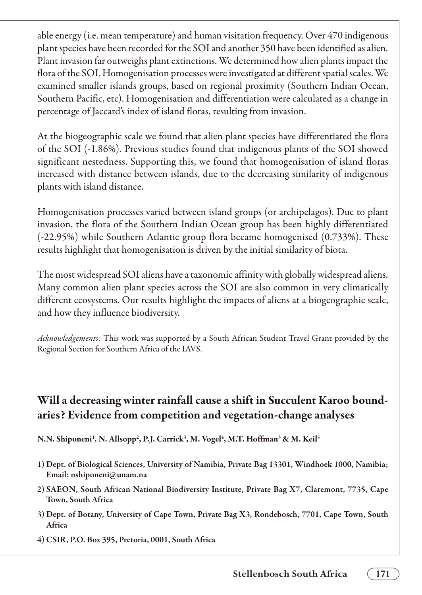## Will a decreasing winter rainfall cause a shift in Succulent Karoo boundaries? Evidence from competition and vegetation-change analyses

N.N. Shiponeni<sup>1</sup>, N. Allsopp<sup>2</sup>, P.J. Carrick<sup>3</sup>, M. Vogel<sup>4</sup>, M.T. Hoffman<sup>3</sup> & M. Keil<sup>5</sup>

- 1) Dept. of Biological Sciences, University of Namibia, Private Bag 13301, Windhoek 1000, Namibia; Email: nshiponeni@unam.na
- 2) SAEON, South African National Biodiversity Institute, Private Bag X7, Claremont, 7735, Cape Town, South Africa
- 3) Dept. of Botany, University of Cape Town, Private Bag X3, Rondebosch, 7701, Cape Town, South Africa
- 4) CSIR, P.O. Box 395, Pretoria, 0001, South Africa

**Stellenbosch South Africa 171**